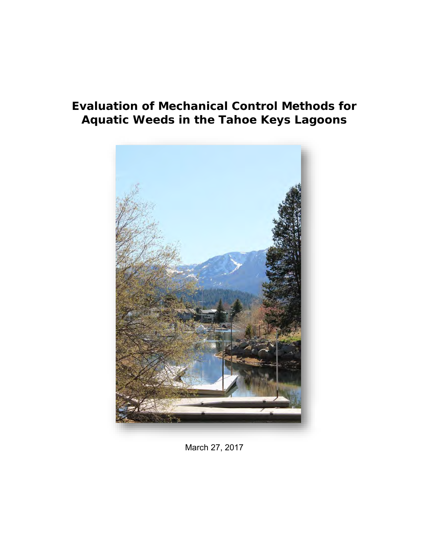# **Evaluation of Mechanical Control Methods for Aquatic Weeds in the Tahoe Keys Lagoons**



March 27, 2017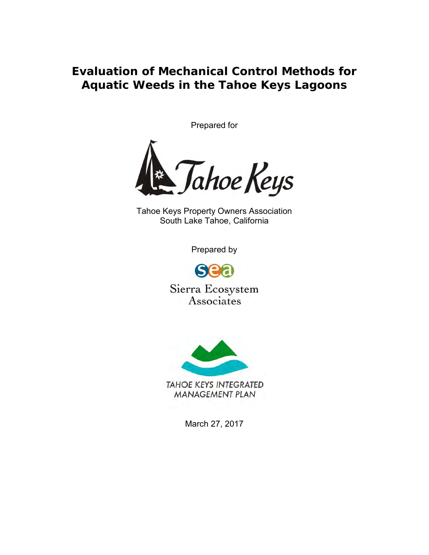**Evaluation of Mechanical Control Methods for Aquatic Weeds in the Tahoe Keys Lagoons**

Prepared for



Tahoe Keys Property Owners Association South Lake Tahoe, California

Prepared by

S

Sierra Ecosystem Associates



March 27, 2017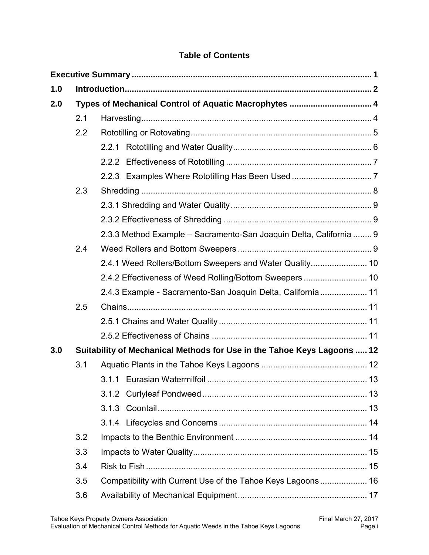# **Table of Contents**

| 1.0 |                                                                         |                                                                    |  |
|-----|-------------------------------------------------------------------------|--------------------------------------------------------------------|--|
| 2.0 | Types of Mechanical Control of Aquatic Macrophytes  4                   |                                                                    |  |
|     | 2.1                                                                     |                                                                    |  |
|     | 2.2                                                                     |                                                                    |  |
|     |                                                                         |                                                                    |  |
|     |                                                                         |                                                                    |  |
|     |                                                                         |                                                                    |  |
|     | 2.3                                                                     |                                                                    |  |
|     |                                                                         |                                                                    |  |
|     |                                                                         |                                                                    |  |
|     |                                                                         | 2.3.3 Method Example - Sacramento-San Joaquin Delta, California  9 |  |
|     | 2.4                                                                     |                                                                    |  |
|     |                                                                         | 2.4.1 Weed Rollers/Bottom Sweepers and Water Quality 10            |  |
|     |                                                                         | 2.4.2 Effectiveness of Weed Rolling/Bottom Sweepers  10            |  |
|     |                                                                         | 2.4.3 Example - Sacramento-San Joaquin Delta, California  11       |  |
|     | 2.5                                                                     |                                                                    |  |
|     |                                                                         |                                                                    |  |
|     |                                                                         |                                                                    |  |
| 3.0 | Suitability of Mechanical Methods for Use in the Tahoe Keys Lagoons  12 |                                                                    |  |
|     | 3.1                                                                     |                                                                    |  |
|     |                                                                         |                                                                    |  |
|     |                                                                         |                                                                    |  |
|     |                                                                         |                                                                    |  |
|     |                                                                         |                                                                    |  |
|     | 3.2                                                                     |                                                                    |  |
|     | 3.3                                                                     |                                                                    |  |
|     | 3.4                                                                     |                                                                    |  |
|     | 3.5                                                                     | Compatibility with Current Use of the Tahoe Keys Lagoons 16        |  |
|     | 3.6                                                                     |                                                                    |  |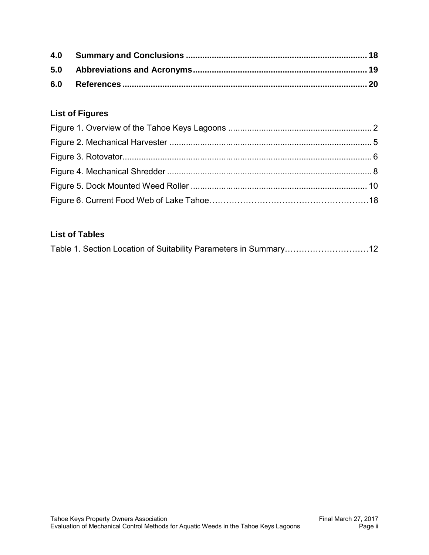# **List of Figures**

# **List of Tables**

| Table 1. Section Location of Suitability Parameters in Summary12 |  |
|------------------------------------------------------------------|--|
|                                                                  |  |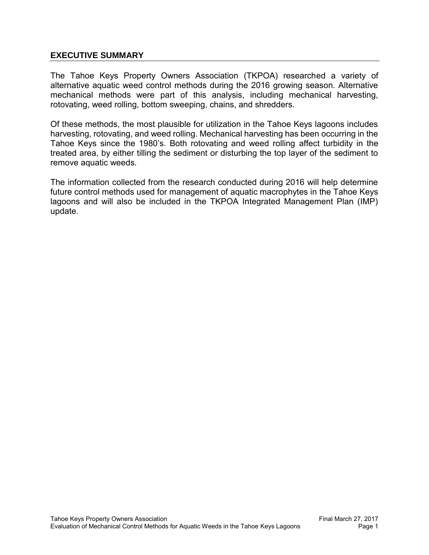#### <span id="page-4-0"></span>**EXECUTIVE SUMMARY**

The Tahoe Keys Property Owners Association (TKPOA) researched a variety of alternative aquatic weed control methods during the 2016 growing season. Alternative mechanical methods were part of this analysis, including mechanical harvesting, rotovating, weed rolling, bottom sweeping, chains, and shredders.

Of these methods, the most plausible for utilization in the Tahoe Keys lagoons includes harvesting, rotovating, and weed rolling. Mechanical harvesting has been occurring in the Tahoe Keys since the 1980's. Both rotovating and weed rolling affect turbidity in the treated area, by either tilling the sediment or disturbing the top layer of the sediment to remove aquatic weeds.

The information collected from the research conducted during 2016 will help determine future control methods used for management of aquatic macrophytes in the Tahoe Keys lagoons and will also be included in the TKPOA Integrated Management Plan (IMP) update.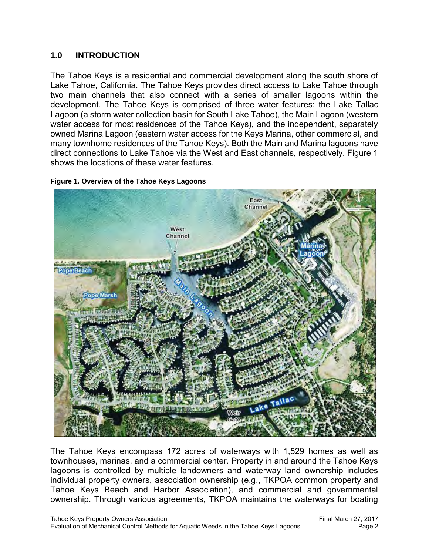#### <span id="page-5-0"></span>**1.0 INTRODUCTION**

The Tahoe Keys is a residential and commercial development along the south shore of Lake Tahoe, California. The Tahoe Keys provides direct access to Lake Tahoe through two main channels that also connect with a series of smaller lagoons within the development. The Tahoe Keys is comprised of three water features: the Lake Tallac Lagoon (a storm water collection basin for South Lake Tahoe), the Main Lagoon (western water access for most residences of the Tahoe Keys), and the independent, separately owned Marina Lagoon (eastern water access for the Keys Marina, other commercial, and many townhome residences of the Tahoe Keys). Both the Main and Marina lagoons have direct connections to Lake Tahoe via the West and East channels, respectively. Figure 1 shows the locations of these water features.

<span id="page-5-1"></span>



The Tahoe Keys encompass 172 acres of waterways with 1,529 homes as well as townhouses, marinas, and a commercial center. Property in and around the Tahoe Keys lagoons is controlled by multiple landowners and waterway land ownership includes individual property owners, association ownership (e.g., TKPOA common property and Tahoe Keys Beach and Harbor Association), and commercial and governmental ownership. Through various agreements, TKPOA maintains the waterways for boating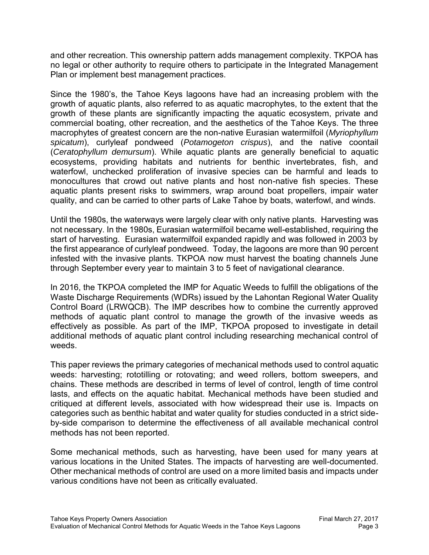and other recreation. This ownership pattern adds management complexity. TKPOA has no legal or other authority to require others to participate in the Integrated Management Plan or implement best management practices.

Since the 1980's, the Tahoe Keys lagoons have had an increasing problem with the growth of aquatic plants, also referred to as aquatic macrophytes, to the extent that the growth of these plants are significantly impacting the aquatic ecosystem, private and commercial boating, other recreation, and the aesthetics of the Tahoe Keys. The three macrophytes of greatest concern are the non-native Eurasian watermilfoil (*Myriophyllum spicatum*), curlyleaf pondweed (*Potamogeton crispus*), and the native coontail (*Ceratophyllum demursum*). While aquatic plants are generally beneficial to aquatic ecosystems, providing habitats and nutrients for benthic invertebrates, fish, and waterfowl, unchecked proliferation of invasive species can be harmful and leads to monocultures that crowd out native plants and host non-native fish species. These aquatic plants present risks to swimmers, wrap around boat propellers, impair water quality, and can be carried to other parts of Lake Tahoe by boats, waterfowl, and winds.

Until the 1980s, the waterways were largely clear with only native plants. Harvesting was not necessary. In the 1980s, Eurasian watermilfoil became well-established, requiring the start of harvesting. Eurasian watermilfoil expanded rapidly and was followed in 2003 by the first appearance of curlyleaf pondweed. Today, the lagoons are more than 90 percent infested with the invasive plants. TKPOA now must harvest the boating channels June through September every year to maintain 3 to 5 feet of navigational clearance.

In 2016, the TKPOA completed the IMP for Aquatic Weeds to fulfill the obligations of the Waste Discharge Requirements (WDRs) issued by the Lahontan Regional Water Quality Control Board (LRWQCB). The IMP describes how to combine the currently approved methods of aquatic plant control to manage the growth of the invasive weeds as effectively as possible. As part of the IMP, TKPOA proposed to investigate in detail additional methods of aquatic plant control including researching mechanical control of weeds.

This paper reviews the primary categories of mechanical methods used to control aquatic weeds: harvesting; rototilling or rotovating; and weed rollers, bottom sweepers, and chains. These methods are described in terms of level of control, length of time control lasts, and effects on the aquatic habitat. Mechanical methods have been studied and critiqued at different levels, associated with how widespread their use is. Impacts on categories such as benthic habitat and water quality for studies conducted in a strict sideby-side comparison to determine the effectiveness of all available mechanical control methods has not been reported.

Some mechanical methods, such as harvesting, have been used for many years at various locations in the United States. The impacts of harvesting are well-documented. Other mechanical methods of control are used on a more limited basis and impacts under various conditions have not been as critically evaluated.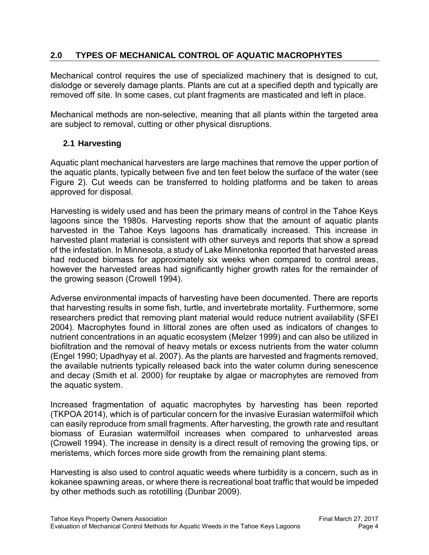# <span id="page-7-0"></span>**2.0 TYPES OF MECHANICAL CONTROL OF AQUATIC MACROPHYTES**

Mechanical control requires the use of specialized machinery that is designed to cut, dislodge or severely damage plants. Plants are cut at a specified depth and typically are removed off site. In some cases, cut plant fragments are masticated and left in place.

Mechanical methods are non-selective, meaning that all plants within the targeted area are subject to removal, cutting or other physical disruptions.

### <span id="page-7-1"></span>**2.1 Harvesting**

Aquatic plant mechanical harvesters are large machines that remove the upper portion of the aquatic plants, typically between five and ten feet below the surface of the water (see Figure 2). Cut weeds can be transferred to holding platforms and be taken to areas approved for disposal.

Harvesting is widely used and has been the primary means of control in the Tahoe Keys lagoons since the 1980s. Harvesting reports show that the amount of aquatic plants harvested in the Tahoe Keys lagoons has dramatically increased. This increase in harvested plant material is consistent with other surveys and reports that show a spread of the infestation. In Minnesota, a study of Lake Minnetonka reported that harvested areas had reduced biomass for approximately six weeks when compared to control areas, however the harvested areas had significantly higher growth rates for the remainder of the growing season (Crowell 1994).

Adverse environmental impacts of harvesting have been documented. There are reports that harvesting results in some fish, turtle, and invertebrate mortality. Furthermore, some researchers predict that removing plant material would reduce nutrient availability (SFEI 2004). Macrophytes found in littoral zones are often used as indicators of changes to nutrient concentrations in an aquatic ecosystem (Melzer 1999) and can also be utilized in biofiltration and the removal of heavy metals or excess nutrients from the water column (Engel 1990; Upadhyay et al. 2007). As the plants are harvested and fragments removed, the available nutrients typically released back into the water column during senescence and decay (Smith et al. 2000) for reuptake by algae or macrophytes are removed from the aquatic system.

Increased fragmentation of aquatic macrophytes by harvesting has been reported (TKPOA 2014), which is of particular concern for the invasive Eurasian watermilfoil which can easily reproduce from small fragments. After harvesting, the growth rate and resultant biomass of Eurasian watermilfoil increases when compared to unharvested areas (Crowell 1994). The increase in density is a direct result of removing the growing tips, or meristems, which forces more side growth from the remaining plant stems.

Harvesting is also used to control aquatic weeds where turbidity is a concern, such as in kokanee spawning areas, or where there is recreational boat traffic that would be impeded by other methods such as rototilling (Dunbar 2009).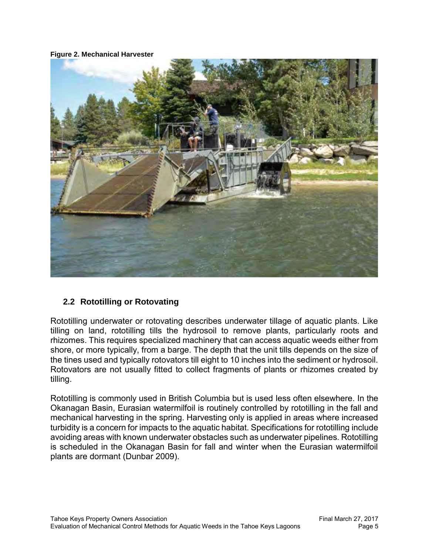#### <span id="page-8-1"></span>**Figure 2. Mechanical Harvester**



### <span id="page-8-0"></span>**2.2 Rototilling or Rotovating**

Rototilling underwater or rotovating describes underwater tillage of aquatic plants. Like tilling on land, rototilling tills the hydrosoil to remove plants, particularly roots and rhizomes. This requires specialized machinery that can access aquatic weeds either from shore, or more typically, from a barge. The depth that the unit tills depends on the size of the tines used and typically rotovators till eight to 10 inches into the sediment or hydrosoil. Rotovators are not usually fitted to collect fragments of plants or rhizomes created by tilling.

Rototilling is commonly used in British Columbia but is used less often elsewhere. In the Okanagan Basin, Eurasian watermilfoil is routinely controlled by rototilling in the fall and mechanical harvesting in the spring. Harvesting only is applied in areas where increased turbidity is a concern for impacts to the aquatic habitat. Specifications for rototilling include avoiding areas with known underwater obstacles such as underwater pipelines. Rototilling is scheduled in the Okanagan Basin for fall and winter when the Eurasian watermilfoil plants are dormant (Dunbar 2009).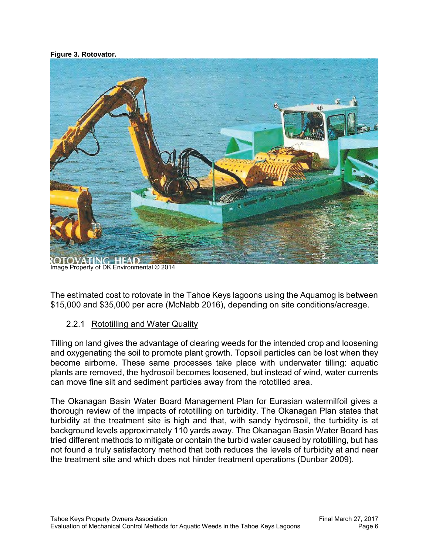#### <span id="page-9-1"></span>**Figure 3. Rotovator.**



Image Property of DK Environmental © 2014

The estimated cost to rotovate in the Tahoe Keys lagoons using the Aquamog is between \$15,000 and \$35,000 per acre (McNabb 2016), depending on site conditions/acreage.

#### <span id="page-9-0"></span>2.2.1 Rototilling and Water Quality

Tilling on land gives the advantage of clearing weeds for the intended crop and loosening and oxygenating the soil to promote plant growth. Topsoil particles can be lost when they become airborne. These same processes take place with underwater tilling: aquatic plants are removed, the hydrosoil becomes loosened, but instead of wind, water currents can move fine silt and sediment particles away from the rototilled area.

The Okanagan Basin Water Board Management Plan for Eurasian watermilfoil gives a thorough review of the impacts of rototilling on turbidity. The Okanagan Plan states that turbidity at the treatment site is high and that, with sandy hydrosoil, the turbidity is at background levels approximately 110 yards away. The Okanagan Basin Water Board has tried different methods to mitigate or contain the turbid water caused by rototilling, but has not found a truly satisfactory method that both reduces the levels of turbidity at and near the treatment site and which does not hinder treatment operations (Dunbar 2009).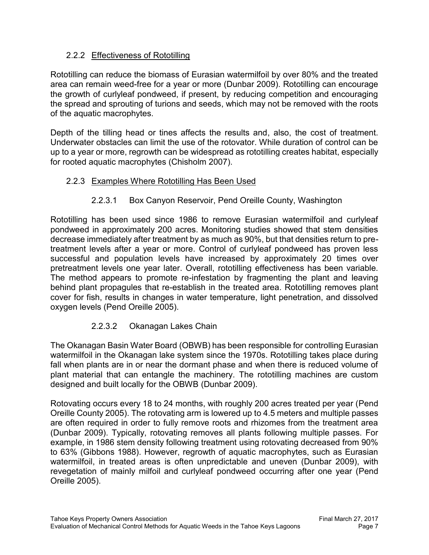# <span id="page-10-0"></span>2.2.2 Effectiveness of Rototilling

Rototilling can reduce the biomass of Eurasian watermilfoil by over 80% and the treated area can remain weed-free for a year or more (Dunbar 2009). Rototilling can encourage the growth of curlyleaf pondweed, if present, by reducing competition and encouraging the spread and sprouting of turions and seeds, which may not be removed with the roots of the aquatic macrophytes.

Depth of the tilling head or tines affects the results and, also, the cost of treatment. Underwater obstacles can limit the use of the rotovator. While duration of control can be up to a year or more, regrowth can be widespread as rototilling creates habitat, especially for rooted aquatic macrophytes (Chisholm 2007).

### <span id="page-10-1"></span>2.2.3 Examples Where Rototilling Has Been Used

### 2.2.3.1 Box Canyon Reservoir, Pend Oreille County, Washington

Rototilling has been used since 1986 to remove Eurasian watermilfoil and curlyleaf pondweed in approximately 200 acres. Monitoring studies showed that stem densities decrease immediately after treatment by as much as 90%, but that densities return to pretreatment levels after a year or more. Control of curlyleaf pondweed has proven less successful and population levels have increased by approximately 20 times over pretreatment levels one year later. Overall, rototilling effectiveness has been variable. The method appears to promote re-infestation by fragmenting the plant and leaving behind plant propagules that re-establish in the treated area. Rototilling removes plant cover for fish, results in changes in water temperature, light penetration, and dissolved oxygen levels (Pend Oreille 2005).

### 2.2.3.2 Okanagan Lakes Chain

The Okanagan Basin Water Board (OBWB) has been responsible for controlling Eurasian watermilfoil in the Okanagan lake system since the 1970s. Rototilling takes place during fall when plants are in or near the dormant phase and when there is reduced volume of plant material that can entangle the machinery. The rototilling machines are custom designed and built locally for the OBWB (Dunbar 2009).

Rotovating occurs every 18 to 24 months, with roughly 200 acres treated per year (Pend Oreille County 2005). The rotovating arm is lowered up to 4.5 meters and multiple passes are often required in order to fully remove roots and rhizomes from the treatment area (Dunbar 2009). Typically, rotovating removes all plants following multiple passes. For example, in 1986 stem density following treatment using rotovating decreased from 90% to 63% (Gibbons 1988). However, regrowth of aquatic macrophytes, such as Eurasian watermilfoil, in treated areas is often unpredictable and uneven (Dunbar 2009), with revegetation of mainly milfoil and curlyleaf pondweed occurring after one year (Pend Oreille 2005).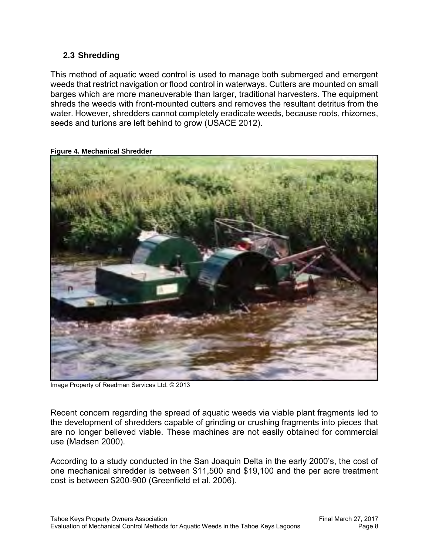### <span id="page-11-0"></span>**2.3 Shredding**

This method of aquatic weed control is used to manage both submerged and emergent weeds that restrict navigation or flood control in waterways. Cutters are mounted on small barges which are more maneuverable than larger, traditional harvesters. The equipment shreds the weeds with front-mounted cutters and removes the resultant detritus from the water. However, shredders cannot completely eradicate weeds, because roots, rhizomes, seeds and turions are left behind to grow (USACE 2012).

<span id="page-11-1"></span>

**Figure 4. Mechanical Shredder**

Image Property of Reedman Services Ltd. © 2013

Recent concern regarding the spread of aquatic weeds via viable plant fragments led to the development of shredders capable of grinding or crushing fragments into pieces that are no longer believed viable. These machines are not easily obtained for commercial use (Madsen 2000).

According to a study conducted in the San Joaquin Delta in the early 2000's, the cost of one mechanical shredder is between \$11,500 and \$19,100 and the per acre treatment cost is between \$200-900 (Greenfield et al. 2006).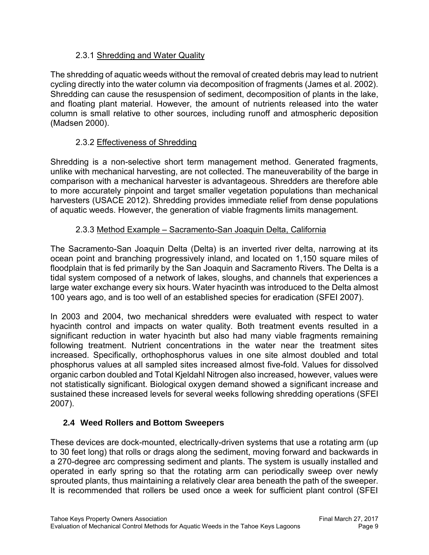## <span id="page-12-0"></span>2.3.1 Shredding and Water Quality

The shredding of aquatic weeds without the removal of created debris may lead to nutrient cycling directly into the water column via decomposition of fragments (James et al. 2002). Shredding can cause the resuspension of sediment, decomposition of plants in the lake, and floating plant material. However, the amount of nutrients released into the water column is small relative to other sources, including runoff and atmospheric deposition (Madsen 2000).

# <span id="page-12-1"></span>2.3.2 Effectiveness of Shredding

Shredding is a non-selective short term management method. Generated fragments, unlike with mechanical harvesting, are not collected. The maneuverability of the barge in comparison with a mechanical harvester is advantageous. Shredders are therefore able to more accurately pinpoint and target smaller vegetation populations than mechanical harvesters (USACE 2012). Shredding provides immediate relief from dense populations of aquatic weeds. However, the generation of viable fragments limits management.

# <span id="page-12-2"></span>2.3.3 Method Example – Sacramento-San Joaquin Delta, California

The Sacramento-San Joaquin Delta (Delta) is an inverted river delta, narrowing at its ocean point and branching progressively inland, and located on 1,150 square miles of floodplain that is fed primarily by the San Joaquin and Sacramento Rivers. The Delta is a tidal system composed of a network of lakes, sloughs, and channels that experiences a large water exchange every six hours. Water hyacinth was introduced to the Delta almost 100 years ago, and is too well of an established species for eradication (SFEI 2007).

In 2003 and 2004, two mechanical shredders were evaluated with respect to water hyacinth control and impacts on water quality. Both treatment events resulted in a significant reduction in water hyacinth but also had many viable fragments remaining following treatment. Nutrient concentrations in the water near the treatment sites increased. Specifically, orthophosphorus values in one site almost doubled and total phosphorus values at all sampled sites increased almost five-fold. Values for dissolved organic carbon doubled and Total Kjeldahl Nitrogen also increased, however, values were not statistically significant. Biological oxygen demand showed a significant increase and sustained these increased levels for several weeks following shredding operations (SFEI 2007).

# <span id="page-12-3"></span>**2.4 Weed Rollers and Bottom Sweepers**

These devices are dock-mounted, electrically-driven systems that use a rotating arm (up to 30 feet long) that rolls or drags along the sediment, moving forward and backwards in a 270-degree arc compressing sediment and plants. The system is usually installed and operated in early spring so that the rotating arm can periodically sweep over newly sprouted plants, thus maintaining a relatively clear area beneath the path of the sweeper. It is recommended that rollers be used once a week for sufficient plant control (SFEI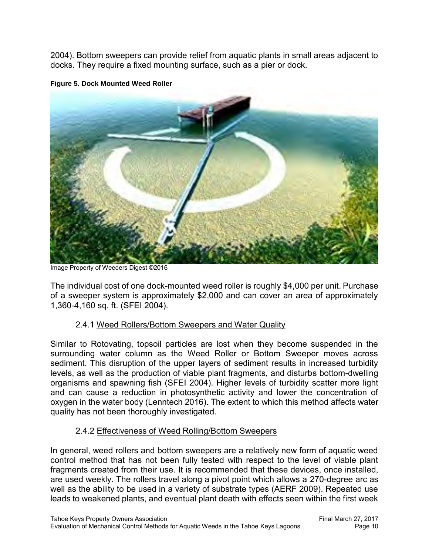2004). Bottom sweepers can provide relief from aquatic plants in small areas adjacent to docks. They require a fixed mounting surface, such as a pier or dock.

<span id="page-13-2"></span>

**Figure 5. Dock Mounted Weed Roller**

Image Property of Weeders Digest ©2016

The individual cost of one dock-mounted weed roller is roughly \$4,000 per unit. Purchase of a sweeper system is approximately \$2,000 and can cover an area of approximately 1,360-4,160 sq. ft. (SFEI 2004).

### <span id="page-13-0"></span>2.4.1 Weed Rollers/Bottom Sweepers and Water Quality

Similar to Rotovating, topsoil particles are lost when they become suspended in the surrounding water column as the Weed Roller or Bottom Sweeper moves across sediment. This disruption of the upper layers of sediment results in increased turbidity levels, as well as the production of viable plant fragments, and disturbs bottom-dwelling organisms and spawning fish (SFEI 2004). Higher levels of turbidity scatter more light and can cause a reduction in photosynthetic activity and lower the concentration of oxygen in the water body (Lenntech 2016). The extent to which this method affects water quality has not been thoroughly investigated.

### <span id="page-13-1"></span>2.4.2 Effectiveness of Weed Rolling/Bottom Sweepers

In general, weed rollers and bottom sweepers are a relatively new form of aquatic weed control method that has not been fully tested with respect to the level of viable plant fragments created from their use. It is recommended that these devices, once installed, are used weekly. The rollers travel along a pivot point which allows a 270-degree arc as well as the ability to be used in a variety of substrate types (AERF 2009). Repeated use leads to weakened plants, and eventual plant death with effects seen within the first week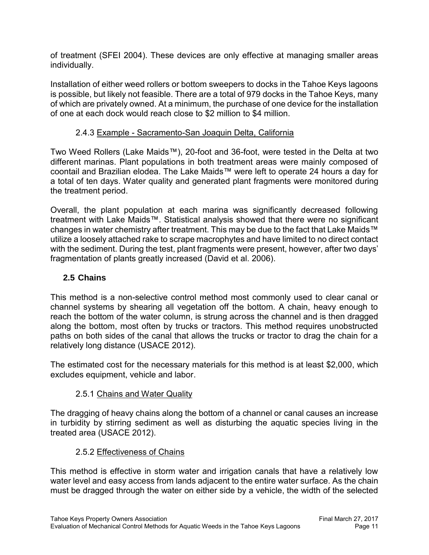of treatment (SFEI 2004). These devices are only effective at managing smaller areas individually.

Installation of either weed rollers or bottom sweepers to docks in the Tahoe Keys lagoons is possible, but likely not feasible. There are a total of 979 docks in the Tahoe Keys, many of which are privately owned. At a minimum, the purchase of one device for the installation of one at each dock would reach close to \$2 million to \$4 million.

# <span id="page-14-0"></span>2.4.3 Example - Sacramento-San Joaquin Delta, California

Two Weed Rollers (Lake Maids™), 20-foot and 36-foot, were tested in the Delta at two different marinas. Plant populations in both treatment areas were mainly composed of coontail and Brazilian elodea. The Lake Maids™ were left to operate 24 hours a day for a total of ten days. Water quality and generated plant fragments were monitored during the treatment period.

Overall, the plant population at each marina was significantly decreased following treatment with Lake Maids™. Statistical analysis showed that there were no significant changes in water chemistry after treatment. This may be due to the fact that Lake Maids™ utilize a loosely attached rake to scrape macrophytes and have limited to no direct contact with the sediment. During the test, plant fragments were present, however, after two days' fragmentation of plants greatly increased (David et al. 2006).

## <span id="page-14-1"></span>**2.5 Chains**

This method is a non-selective control method most commonly used to clear canal or channel systems by shearing all vegetation off the bottom. A chain, heavy enough to reach the bottom of the water column, is strung across the channel and is then dragged along the bottom, most often by trucks or tractors. This method requires unobstructed paths on both sides of the canal that allows the trucks or tractor to drag the chain for a relatively long distance (USACE 2012).

The estimated cost for the necessary materials for this method is at least \$2,000, which excludes equipment, vehicle and labor.

### <span id="page-14-2"></span>2.5.1 Chains and Water Quality

The dragging of heavy chains along the bottom of a channel or canal causes an increase in turbidity by stirring sediment as well as disturbing the aquatic species living in the treated area (USACE 2012).

### <span id="page-14-3"></span>2.5.2 Effectiveness of Chains

This method is effective in storm water and irrigation canals that have a relatively low water level and easy access from lands adjacent to the entire water surface. As the chain must be dragged through the water on either side by a vehicle, the width of the selected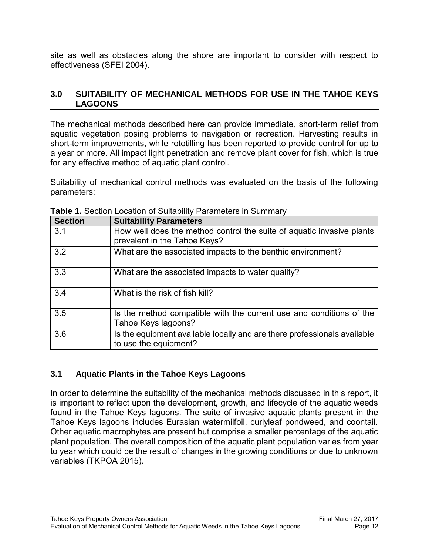site as well as obstacles along the shore are important to consider with respect to effectiveness (SFEI 2004).

### <span id="page-15-0"></span>**3.0 SUITABILITY OF MECHANICAL METHODS FOR USE IN THE TAHOE KEYS LAGOONS**

The mechanical methods described here can provide immediate, short-term relief from aquatic vegetation posing problems to navigation or recreation. Harvesting results in short-term improvements, while rototilling has been reported to provide control for up to a year or more. All impact light penetration and remove plant cover for fish, which is true for any effective method of aquatic plant control.

Suitability of mechanical control methods was evaluated on the basis of the following parameters:

| <b>Section</b> | <b>Suitability Parameters</b>                                                                         |
|----------------|-------------------------------------------------------------------------------------------------------|
| 3.1            | How well does the method control the suite of aquatic invasive plants<br>prevalent in the Tahoe Keys? |
| 3.2            | What are the associated impacts to the benthic environment?                                           |
| 3.3            | What are the associated impacts to water quality?                                                     |
| 3.4            | What is the risk of fish kill?                                                                        |
| 3.5            | Is the method compatible with the current use and conditions of the<br>Tahoe Keys lagoons?            |
| 3.6            | Is the equipment available locally and are there professionals available<br>to use the equipment?     |

**Table 1.** Section Location of Suitability Parameters in Summary

# <span id="page-15-1"></span>**3.1 Aquatic Plants in the Tahoe Keys Lagoons**

In order to determine the suitability of the mechanical methods discussed in this report, it is important to reflect upon the development, growth, and lifecycle of the aquatic weeds found in the Tahoe Keys lagoons. The suite of invasive aquatic plants present in the Tahoe Keys lagoons includes Eurasian watermilfoil, curlyleaf pondweed, and coontail. Other aquatic macrophytes are present but comprise a smaller percentage of the aquatic plant population. The overall composition of the aquatic plant population varies from year to year which could be the result of changes in the growing conditions or due to unknown variables (TKPOA 2015).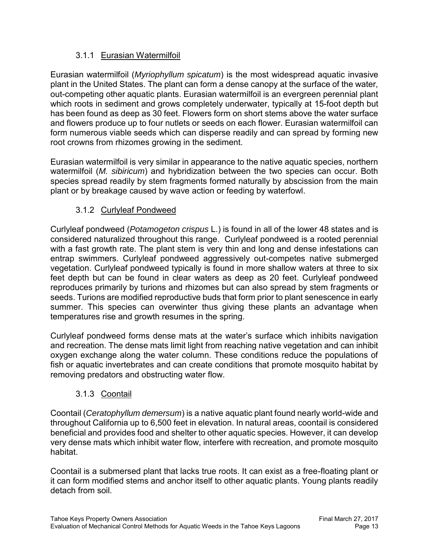# 3.1.1 Eurasian Watermilfoil

<span id="page-16-0"></span>Eurasian watermilfoil (*Myriophyllum spicatum*) is the most widespread aquatic invasive plant in the United States. The plant can form a dense canopy at the surface of the water, out-competing other aquatic plants. Eurasian watermilfoil is an evergreen perennial plant which roots in sediment and grows completely underwater, typically at 15-foot depth but has been found as deep as 30 feet. Flowers form on short stems above the water surface and flowers produce up to four nutlets or seeds on each flower. Eurasian watermilfoil can form numerous viable seeds which can disperse readily and can spread by forming new root crowns from rhizomes growing in the sediment.

Eurasian watermilfoil is very similar in appearance to the native aquatic species, northern watermilfoil (*M. sibiricum*) and hybridization between the two species can occur. Both species spread readily by stem fragments formed naturally by abscission from the main plant or by breakage caused by wave action or feeding by waterfowl.

# 3.1.2 Curlyleaf Pondweed

<span id="page-16-1"></span>Curlyleaf pondweed (*Potamogeton crispus* L.) is found in all of the lower 48 states and is considered naturalized throughout this range. Curlyleaf pondweed is a rooted perennial with a fast growth rate. The plant stem is very thin and long and dense infestations can entrap swimmers. Curlyleaf pondweed aggressively out-competes native submerged vegetation. Curlyleaf pondweed typically is found in more shallow waters at three to six feet depth but can be found in clear waters as deep as 20 feet. Curlyleaf pondweed reproduces primarily by turions and rhizomes but can also spread by stem fragments or seeds. Turions are modified reproductive buds that form prior to plant senescence in early summer. This species can overwinter thus giving these plants an advantage when temperatures rise and growth resumes in the spring.

Curlyleaf pondweed forms dense mats at the water's surface which inhibits navigation and recreation. The dense mats limit light from reaching native vegetation and can inhibit oxygen exchange along the water column. These conditions reduce the populations of fish or aquatic invertebrates and can create conditions that promote mosquito habitat by removing predators and obstructing water flow.

# 3.1.3 Coontail

<span id="page-16-2"></span>Coontail (*Ceratophyllum demersum*) is a native aquatic plant found nearly world-wide and throughout California up to 6,500 feet in elevation. In natural areas, coontail is considered beneficial and provides food and shelter to other aquatic species. However, it can develop very dense mats which inhibit water flow, interfere with recreation, and promote mosquito habitat.

Coontail is a submersed plant that lacks true roots. It can exist as a free-floating plant or it can form modified stems and anchor itself to other aquatic plants. Young plants readily detach from soil.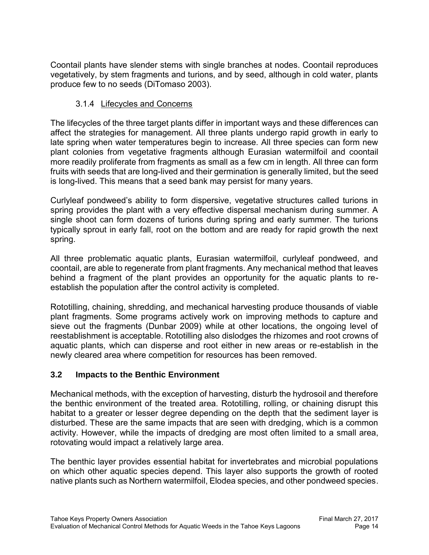Coontail plants have slender stems with single branches at nodes. Coontail reproduces vegetatively, by stem fragments and turions, and by seed, although in cold water, plants produce few to no seeds (DiTomaso 2003).

# 3.1.4 Lifecycles and Concerns

<span id="page-17-0"></span>The lifecycles of the three target plants differ in important ways and these differences can affect the strategies for management. All three plants undergo rapid growth in early to late spring when water temperatures begin to increase. All three species can form new plant colonies from vegetative fragments although Eurasian watermilfoil and coontail more readily proliferate from fragments as small as a few cm in length. All three can form fruits with seeds that are long-lived and their germination is generally limited, but the seed is long-lived. This means that a seed bank may persist for many years.

Curlyleaf pondweed's ability to form dispersive, vegetative structures called turions in spring provides the plant with a very effective dispersal mechanism during summer. A single shoot can form dozens of turions during spring and early summer. The turions typically sprout in early fall, root on the bottom and are ready for rapid growth the next spring.

All three problematic aquatic plants, Eurasian watermilfoil, curlyleaf pondweed, and coontail, are able to regenerate from plant fragments. Any mechanical method that leaves behind a fragment of the plant provides an opportunity for the aquatic plants to reestablish the population after the control activity is completed.

Rototilling, chaining, shredding, and mechanical harvesting produce thousands of viable plant fragments. Some programs actively work on improving methods to capture and sieve out the fragments (Dunbar 2009) while at other locations, the ongoing level of reestablishment is acceptable. Rototilling also dislodges the rhizomes and root crowns of aquatic plants, which can disperse and root either in new areas or re-establish in the newly cleared area where competition for resources has been removed.

### <span id="page-17-1"></span>**3.2 Impacts to the Benthic Environment**

Mechanical methods, with the exception of harvesting, disturb the hydrosoil and therefore the benthic environment of the treated area. Rototilling, rolling, or chaining disrupt this habitat to a greater or lesser degree depending on the depth that the sediment layer is disturbed. These are the same impacts that are seen with dredging, which is a common activity. However, while the impacts of dredging are most often limited to a small area, rotovating would impact a relatively large area.

The benthic layer provides essential habitat for invertebrates and microbial populations on which other aquatic species depend. This layer also supports the growth of rooted native plants such as Northern watermilfoil, Elodea species, and other pondweed species.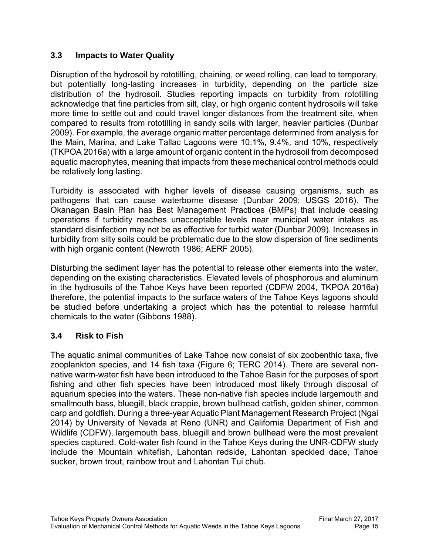### <span id="page-18-0"></span>**3.3 Impacts to Water Quality**

Disruption of the hydrosoil by rototilling, chaining, or weed rolling, can lead to temporary, but potentially long-lasting increases in turbidity, depending on the particle size distribution of the hydrosoil. Studies reporting impacts on turbidity from rototilling acknowledge that fine particles from silt, clay, or high organic content hydrosoils will take more time to settle out and could travel longer distances from the treatment site, when compared to results from rototilling in sandy soils with larger, heavier particles (Dunbar 2009). For example, the average organic matter percentage determined from analysis for the Main, Marina, and Lake Tallac Lagoons were 10.1%, 9.4%, and 10%, respectively (TKPOA 2016a) with a large amount of organic content in the hydrosoil from decomposed aquatic macrophytes, meaning that impacts from these mechanical control methods could be relatively long lasting.

Turbidity is associated with higher levels of disease causing organisms, such as pathogens that can cause waterborne disease (Dunbar 2009; USGS 2016). The Okanagan Basin Plan has Best Management Practices (BMPs) that include ceasing operations if turbidity reaches unacceptable levels near municipal water intakes as standard disinfection may not be as effective for turbid water (Dunbar 2009). Increases in turbidity from silty soils could be problematic due to the slow dispersion of fine sediments with high organic content (Newroth 1986; AERF 2005).

Disturbing the sediment layer has the potential to release other elements into the water, depending on the existing characteristics. Elevated levels of phosphorous and aluminum in the hydrosoils of the Tahoe Keys have been reported (CDFW 2004, TKPOA 2016a) therefore, the potential impacts to the surface waters of the Tahoe Keys lagoons should be studied before undertaking a project which has the potential to release harmful chemicals to the water (Gibbons 1988).

### <span id="page-18-1"></span>**3.4 Risk to Fish**

The aquatic animal communities of Lake Tahoe now consist of six zoobenthic taxa, five zooplankton species, and 14 fish taxa (Figure 6; TERC 2014). There are several nonnative warm-water fish have been introduced to the Tahoe Basin for the purposes of sport fishing and other fish species have been introduced most likely through disposal of aquarium species into the waters. These non-native fish species include largemouth and smallmouth bass, bluegill, black crappie, brown bullhead catfish, golden shiner, common carp and goldfish. During a three-year Aquatic Plant Management Research Project (Ngai 2014) by University of Nevada at Reno (UNR) and California Department of Fish and Wildlife (CDFW), largemouth bass, bluegill and brown bullhead were the most prevalent species captured. Cold-water fish found in the Tahoe Keys during the UNR-CDFW study include the Mountain whitefish, Lahontan redside, Lahontan speckled dace, Tahoe sucker, brown trout, rainbow trout and Lahontan Tui chub.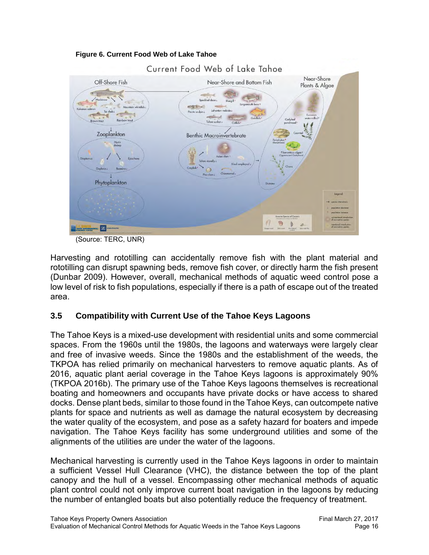



(Source: TERC, UNR)

Harvesting and rototilling can accidentally remove fish with the plant material and rototilling can disrupt spawning beds, remove fish cover, or directly harm the fish present (Dunbar 2009). However, overall, mechanical methods of aquatic weed control pose a low level of risk to fish populations, especially if there is a path of escape out of the treated area.

# <span id="page-19-0"></span>**3.5 Compatibility with Current Use of the Tahoe Keys Lagoons**

The Tahoe Keys is a mixed-use development with residential units and some commercial spaces. From the 1960s until the 1980s, the lagoons and waterways were largely clear and free of invasive weeds. Since the 1980s and the establishment of the weeds, the TKPOA has relied primarily on mechanical harvesters to remove aquatic plants. As of 2016, aquatic plant aerial coverage in the Tahoe Keys lagoons is approximately 90% (TKPOA 2016b). The primary use of the Tahoe Keys lagoons themselves is recreational boating and homeowners and occupants have private docks or have access to shared docks. Dense plant beds, similar to those found in the Tahoe Keys, can outcompete native plants for space and nutrients as well as damage the natural ecosystem by decreasing the water quality of the ecosystem, and pose as a safety hazard for boaters and impede navigation. The Tahoe Keys facility has some underground utilities and some of the alignments of the utilities are under the water of the lagoons.

Mechanical harvesting is currently used in the Tahoe Keys lagoons in order to maintain a sufficient Vessel Hull Clearance (VHC), the distance between the top of the plant canopy and the hull of a vessel. Encompassing other mechanical methods of aquatic plant control could not only improve current boat navigation in the lagoons by reducing the number of entangled boats but also potentially reduce the frequency of treatment.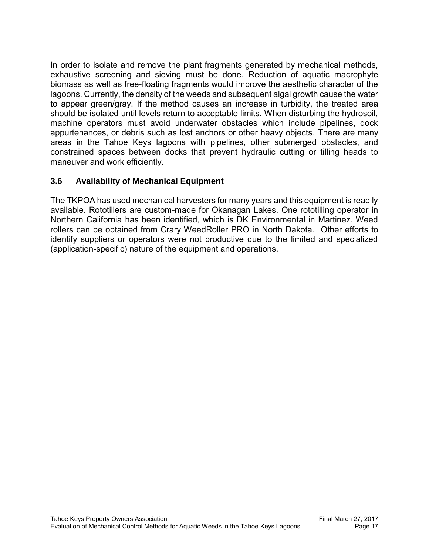In order to isolate and remove the plant fragments generated by mechanical methods, exhaustive screening and sieving must be done. Reduction of aquatic macrophyte biomass as well as free-floating fragments would improve the aesthetic character of the lagoons. Currently, the density of the weeds and subsequent algal growth cause the water to appear green/gray. If the method causes an increase in turbidity, the treated area should be isolated until levels return to acceptable limits. When disturbing the hydrosoil, machine operators must avoid underwater obstacles which include pipelines, dock appurtenances, or debris such as lost anchors or other heavy objects. There are many areas in the Tahoe Keys lagoons with pipelines, other submerged obstacles, and constrained spaces between docks that prevent hydraulic cutting or tilling heads to maneuver and work efficiently.

# <span id="page-20-0"></span>**3.6 Availability of Mechanical Equipment**

The TKPOA has used mechanical harvesters for many years and this equipment is readily available. Rototillers are custom-made for Okanagan Lakes. One rototilling operator in Northern California has been identified, which is DK Environmental in Martinez. Weed rollers can be obtained from Crary WeedRoller PRO in North Dakota. Other efforts to identify suppliers or operators were not productive due to the limited and specialized (application-specific) nature of the equipment and operations.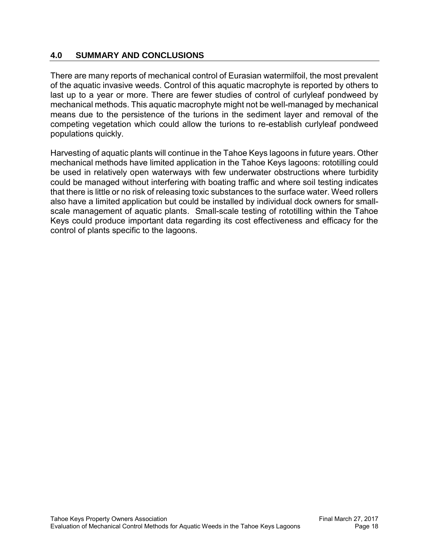#### <span id="page-21-0"></span>**4.0 SUMMARY AND CONCLUSIONS**

There are many reports of mechanical control of Eurasian watermilfoil, the most prevalent of the aquatic invasive weeds. Control of this aquatic macrophyte is reported by others to last up to a year or more. There are fewer studies of control of curlyleaf pondweed by mechanical methods. This aquatic macrophyte might not be well-managed by mechanical means due to the persistence of the turions in the sediment layer and removal of the competing vegetation which could allow the turions to re-establish curlyleaf pondweed populations quickly.

Harvesting of aquatic plants will continue in the Tahoe Keys lagoons in future years. Other mechanical methods have limited application in the Tahoe Keys lagoons: rototilling could be used in relatively open waterways with few underwater obstructions where turbidity could be managed without interfering with boating traffic and where soil testing indicates that there is little or no risk of releasing toxic substances to the surface water. Weed rollers also have a limited application but could be installed by individual dock owners for smallscale management of aquatic plants. Small-scale testing of rototilling within the Tahoe Keys could produce important data regarding its cost effectiveness and efficacy for the control of plants specific to the lagoons.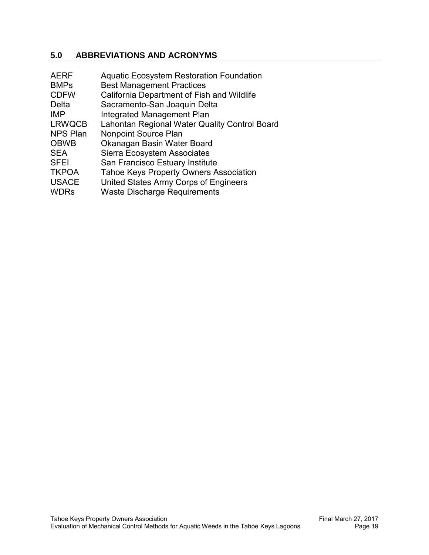# <span id="page-22-0"></span>**5.0 ABBREVIATIONS AND ACRONYMS**

| <b>AERF</b><br><b>BMPs</b> | <b>Aquatic Ecosystem Restoration Foundation</b><br><b>Best Management Practices</b> |
|----------------------------|-------------------------------------------------------------------------------------|
| <b>CDFW</b>                | California Department of Fish and Wildlife                                          |
| Delta                      | Sacramento-San Joaquin Delta                                                        |
| <b>IMP</b>                 | <b>Integrated Management Plan</b>                                                   |
| <b>LRWQCB</b>              | Lahontan Regional Water Quality Control Board                                       |
| <b>NPS Plan</b>            | <b>Nonpoint Source Plan</b>                                                         |
| <b>OBWB</b>                | Okanagan Basin Water Board                                                          |
| <b>SEA</b>                 | <b>Sierra Ecosystem Associates</b>                                                  |
| <b>SFEI</b>                | San Francisco Estuary Institute                                                     |
| <b>TKPOA</b>               | <b>Tahoe Keys Property Owners Association</b>                                       |
| <b>USACE</b>               | United States Army Corps of Engineers                                               |
| <b>WDRs</b>                | <b>Waste Discharge Requirements</b>                                                 |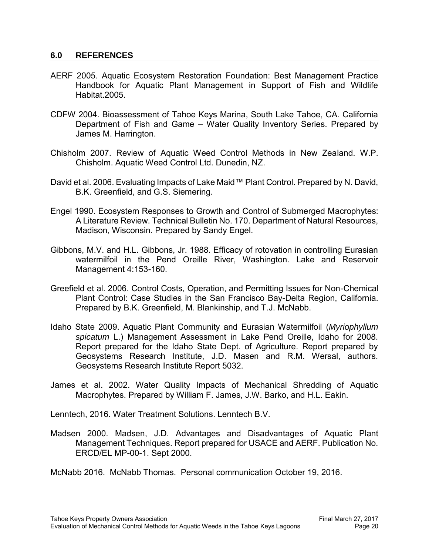#### <span id="page-23-0"></span>**6.0 REFERENCES**

- AERF 2005. Aquatic Ecosystem Restoration Foundation: Best Management Practice Handbook for Aquatic Plant Management in Support of Fish and Wildlife Habitat.2005.
- CDFW 2004. Bioassessment of Tahoe Keys Marina, South Lake Tahoe, CA. California Department of Fish and Game – Water Quality Inventory Series. Prepared by James M. Harrington.
- Chisholm 2007. Review of Aquatic Weed Control Methods in New Zealand. W.P. Chisholm. Aquatic Weed Control Ltd. Dunedin, NZ.
- David et al. 2006. Evaluating Impacts of Lake Maid™ Plant Control. Prepared by N. David, B.K. Greenfield, and G.S. Siemering.
- Engel 1990. Ecosystem Responses to Growth and Control of Submerged Macrophytes: A Literature Review. Technical Bulletin No. 170. Department of Natural Resources, Madison, Wisconsin. Prepared by Sandy Engel.
- Gibbons, M.V. and H.L. Gibbons, Jr. 1988. Efficacy of rotovation in controlling Eurasian watermilfoil in the Pend Oreille River, Washington. Lake and Reservoir Management 4:153-160.
- Greefield et al. 2006. Control Costs, Operation, and Permitting Issues for Non-Chemical Plant Control: Case Studies in the San Francisco Bay-Delta Region, California. Prepared by B.K. Greenfield, M. Blankinship, and T.J. McNabb.
- Idaho State 2009. Aquatic Plant Community and Eurasian Watermilfoil (*Myriophyllum spicatum* L.) Management Assessment in Lake Pend Oreille, Idaho for 2008. Report prepared for the Idaho State Dept. of Agriculture. Report prepared by Geosystems Research Institute, J.D. Masen and R.M. Wersal, authors. Geosystems Research Institute Report 5032.
- James et al. 2002. Water Quality Impacts of Mechanical Shredding of Aquatic Macrophytes. Prepared by William F. James, J.W. Barko, and H.L. Eakin.

Lenntech, 2016. Water Treatment Solutions. Lenntech B.V.

Madsen 2000. Madsen, J.D. Advantages and Disadvantages of Aquatic Plant Management Techniques. Report prepared for USACE and AERF. Publication No. ERCD/EL MP-00-1. Sept 2000.

McNabb 2016. McNabb Thomas. Personal communication October 19, 2016.